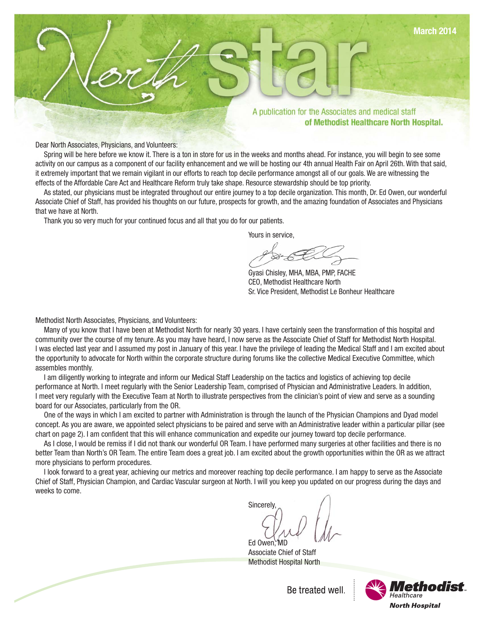

Dear North Associates, Physicians, and Volunteers:

Spring will be here before we know it. There is a ton in store for us in the weeks and months ahead. For instance, you will begin to see some activity on our campus as a component of our facility enhancement and we will be hosting our 4th annual Health Fair on April 26th. With that said, it extremely important that we remain vigilant in our efforts to reach top decile performance amongst all of our goals. We are witnessing the effects of the Affordable Care Act and Healthcare Reform truly take shape. Resource stewardship should be top priority.

As stated, our physicians must be integrated throughout our entire journey to a top decile organization. This month, Dr. Ed Owen, our wonderful Associate Chief of Staff, has provided his thoughts on our future, prospects for growth, and the amazing foundation of Associates and Physicians that we have at North.

Thank you so very much for your continued focus and all that you do for our patients.

Yours in service,

Gyasi Chisley, MHA, MBA, PMP, FACHE CEO, Methodist Healthcare North Sr. Vice President, Methodist Le Bonheur Healthcare

Methodist North Associates, Physicians, and Volunteers:

Many of you know that I have been at Methodist North for nearly 30 years. I have certainly seen the transformation of this hospital and community over the course of my tenure. As you may have heard, I now serve as the Associate Chief of Staff for Methodist North Hospital. I was elected last year and I assumed my post in January of this year. I have the privilege of leading the Medical Staff and I am excited about the opportunity to advocate for North within the corporate structure during forums like the collective Medical Executive Committee, which assembles monthly.

I am diligently working to integrate and inform our Medical Staff Leadership on the tactics and logistics of achieving top decile performance at North. I meet regularly with the Senior Leadership Team, comprised of Physician and Administrative Leaders. In addition, I meet very regularly with the Executive Team at North to illustrate perspectives from the clinician's point of view and serve as a sounding board for our Associates, particularly from the OR.

One of the ways in which I am excited to partner with Administration is through the launch of the Physician Champions and Dyad model concept. As you are aware, we appointed select physicians to be paired and serve with an Administrative leader within a particular pillar (see chart on page 2). I am confident that this will enhance communication and expedite our journey toward top decile performance.

As I close, I would be remiss if I did not thank our wonderful OR Team. I have performed many surgeries at other facilities and there is no better Team than North's OR Team. The entire Team does a great job. I am excited about the growth opportunities within the OR as we attract more physicians to perform procedures.

I look forward to a great year, achieving our metrics and moreover reaching top decile performance. I am happy to serve as the Associate Chief of Staff, Physician Champion, and Cardiac Vascular surgeon at North. I will you keep you updated on our progress during the days and weeks to come.

**Sincerely** Ed Owen. $\blacksquare$ 

Associate Chief of Staff Methodist Hospital North



Be treated well.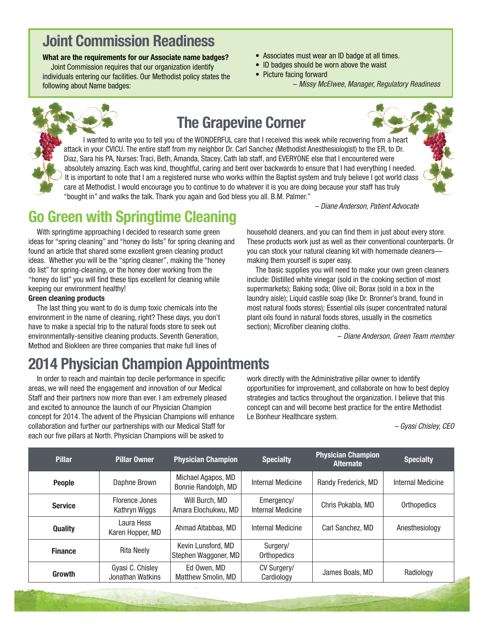## **Joint Commission Readiness**

#### **What are the requirements for our Associate name badges?**

Joint Commission requires that our organization identify individuals entering our facilities. Our Methodist policy states the following about Name badges:

- Associates must wear an ID badge at all times.
- ID badges should be worn above the waist
- Picture facing forward

– Missy McElwee, Manager, Regulatory Readiness



## **The Grapevine Corner**

I wanted to write you to tell you of the WONDERFUL care that I received this week while recovering from a heart attack in your CVICU. The entire staff from my neighbor Dr. Carl Sanchez (Methodist Anesthesiologist) to the ER, to Dr. Diaz, Sara his PA, Nurses: Traci, Beth, Amanda, Stacey, Cath lab staff, and EVERYONE else that I encountered were absolutely amazing. Each was kind, thoughtful, caring and bent over backwards to ensure that I had everything I needed. It is important to note that I am a registered nurse who works within the Baptist system and truly believe I got world class care at Methodist. I would encourage you to continue to do whatever it is you are doing because your staff has truly "bought in" and walks the talk. Thank you again and God bless you all. B.M. Palmer."

– Diane Anderson, Patient Advocate

## **Go Green with Springtime Cleaning**

With springtime approaching I decided to research some green ideas for "spring cleaning" and "honey do lists" for spring cleaning and found an article that shared some excellent green cleaning product ideas. Whether you will be the "spring cleaner", making the "honey do list" for spring-cleaning, or the honey doer working from the "honey do list" you will find these tips excellent for cleaning while keeping our environment healthy!

#### **Green cleaning products**

The last thing you want to do is dump toxic chemicals into the environment in the name of cleaning, right? These days, you don't have to make a special trip to the natural foods store to seek out environmentally-sensitive cleaning products. Seventh Generation, Method and Biokleen are three companies that make full lines of

# **2014 Physician Champion Appointments**

In order to reach and maintain top decile performance in specific areas, we will need the engagement and innovation of our Medical Staff and their partners now more than ever. I am extremely pleased and excited to announce the launch of our Physician Champion concept for 2014. The advent of the Physician Champions will enhance collaboration and further our partnerships with our Medical Staff for each our five pillars at North. Physician Champions will be asked to

household cleaners, and you can find them in just about every store. These products work just as well as their conventional counterparts. Or you can stock your natural cleaning kit with homemade cleaners making them yourself is super easy.

The basic supplies you will need to make your own green cleaners include: Distilled white vinegar (sold in the cooking section of most supermarkets); Baking soda; Olive oil; Borax (sold in a box in the laundry aisle); Liquid castile soap (like Dr. Bronner's brand, found in most natural foods stores); Essential oils (super concentrated natural plant oils found in natural foods stores, usually in the cosmetics section); Microfiber cleaning cloths.

– Diane Anderson, Green Team member

work directly with the Administrative pillar owner to identify opportunities for improvement, and collaborate on how to best deploy strategies and tactics throughout the organization. I believe that this concept can and will become best practice for the entire Methodist Le Bonheur Healthcare system.

– Gyasi Chisley, CEO

| <b>Pillar</b>  | <b>Pillar Owner</b>                  | <b>Physician Champion</b>                  | <b>Specialty</b>                | <b>Physician Champion</b><br><b>Alternate</b> | <b>Specialty</b>  |
|----------------|--------------------------------------|--------------------------------------------|---------------------------------|-----------------------------------------------|-------------------|
| <b>People</b>  | Daphne Brown                         | Michael Agapos, MD<br>Bonnie Randolph, MD  | Internal Medicine               | Randy Frederick, MD                           | Internal Medicine |
| <b>Service</b> | Florence Jones<br>Kathryn Wiggs      | Will Burch, MD<br>Amara Elochukwu, MD      | Emergency/<br>Internal Medicine | Chris Pokabla, MD                             | Orthopedics       |
| <b>Quality</b> | Laura Hess<br>Karen Hopper, MD       | Ahmad Altabbaa, MD                         | Internal Medicine               | Carl Sanchez, MD                              | Anesthesiology    |
| <b>Finance</b> | <b>Rita Neely</b>                    | Kevin Lunsford, MD<br>Stephen Waggoner, MD | Surgery/<br>Orthopedics         |                                               |                   |
| Growth         | Gyasi C. Chisley<br>Jonathan Watkins | Ed Owen, MD<br><b>Matthew Smolin, MD</b>   | CV Surgery/<br>Cardiology       | James Boals, MD                               | Radiology         |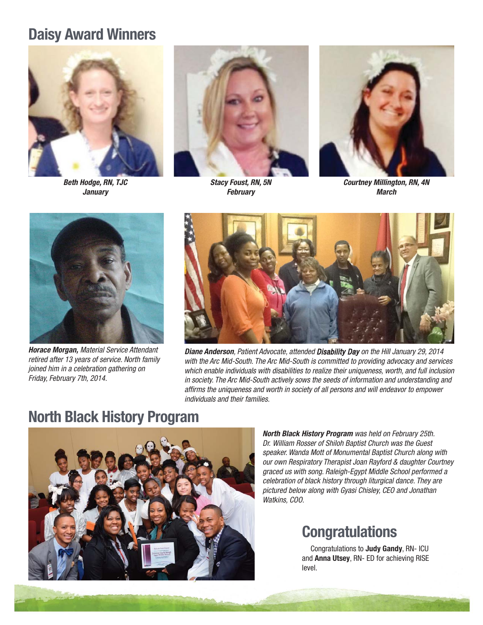## **Daisy Award Winners**



**Beth Hodge, RN, TJC January**



**Stacy Foust, RN, 5N February**



**Courtney Millington, RN, 4N March**



**Horace Morgan,** Material Service Attendant retired after 13 years of service. North family joined him in a celebration gathering on Friday, February 7th, 2014.



**Diane Anderson**, Patient Advocate, attended Disability Day on the Hill January 29, 2014 with the Arc Mid-South. The Arc Mid-South is committed to providing advocacy and services which enable individuals with disabilities to realize their uniqueness, worth, and full inclusion in society. The Arc Mid-South actively sows the seeds of information and understanding and affirms the uniqueness and worth in society of all persons and will endeavor to empower individuals and their families.

# **North Black History Program**



**North Black History Program** was held on February 25th. Dr. William Rosser of Shiloh Baptist Church was the Guest speaker. Wanda Mott of Monumental Baptist Church along with our own Respiratory Therapist Joan Rayford & daughter Courtney graced us with song. Raleigh-Egypt Middle School performed a celebration of black history through liturgical dance. They are pictured below along with Gyasi Chisley, CEO and Jonathan Watkins, COO.

## **Congratulations**

Congratulations to **Judy Gandy**, RN- ICU and **Anna Utsey**, RN- ED for achieving RISE level.